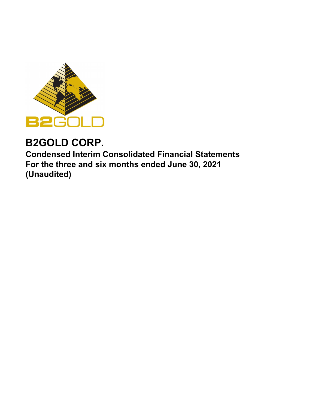

# **B2GOLD CORP.**

**Condensed Interim Consolidated Financial Statements For the three and six months ended June 30, 2021 (Unaudited)**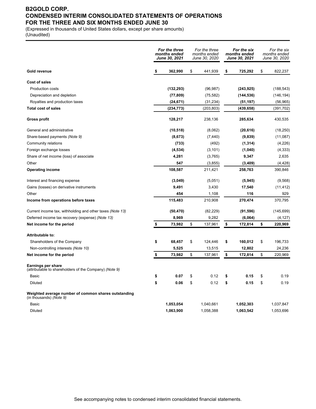# **B2GOLD CORP. CONDENSED INTERIM CONSOLIDATED STATEMENTS OF OPERATIONS FOR THE THREE AND SIX MONTHS ENDED JUNE 30**

(Expressed in thousands of United States dollars, except per share amounts) (Unaudited)

|                                                                                 |    | For the three<br>months ended<br><b>June 30, 2021</b> |    | For the three<br>months ended<br>June 30, 2020 |    | For the six<br>months ended<br>June 30, 2021 |    | For the six<br>months ended<br>June 30, 2020 |  |
|---------------------------------------------------------------------------------|----|-------------------------------------------------------|----|------------------------------------------------|----|----------------------------------------------|----|----------------------------------------------|--|
| Gold revenue                                                                    | \$ | 362,990                                               | \$ | 441,939                                        | \$ | 725,292                                      | \$ | 822,237                                      |  |
| <b>Cost of sales</b>                                                            |    |                                                       |    |                                                |    |                                              |    |                                              |  |
| Production costs                                                                |    | (132, 293)                                            |    | (96, 987)                                      |    | (243, 925)                                   |    | (188, 543)                                   |  |
| Depreciation and depletion                                                      |    | (77, 809)                                             |    | (75, 582)                                      |    | (144, 536)                                   |    | (146, 194)                                   |  |
| Royalties and production taxes                                                  |    | (24, 671)                                             |    | (31, 234)                                      |    | (51, 197)                                    |    | (56, 965)                                    |  |
| <b>Total cost of sales</b>                                                      |    | (234, 773)                                            |    | (203, 803)                                     |    | (439, 658)                                   |    | (391, 702)                                   |  |
| Gross profit                                                                    |    | 128,217                                               |    | 238,136                                        |    | 285,634                                      |    | 430,535                                      |  |
| General and administrative                                                      |    | (10, 518)                                             |    | (8,062)                                        |    | (20, 616)                                    |    | (18, 250)                                    |  |
| Share-based payments (Note 9)                                                   |    | (8,673)                                               |    | (7, 440)                                       |    | (9,839)                                      |    | (11,087)                                     |  |
| Community relations                                                             |    | (733)                                                 |    | (492)                                          |    | (1, 314)                                     |    | (4,226)                                      |  |
| Foreign exchange losses                                                         |    | (4, 534)                                              |    | (3, 101)                                       |    | (1,040)                                      |    | (4, 333)                                     |  |
| Share of net income (loss) of associate                                         |    | 4,281                                                 |    | (3,765)                                        |    | 9,347                                        |    | 2,635                                        |  |
| Other                                                                           |    | 547                                                   |    | (3, 855)                                       |    | (3, 409)                                     |    | (4, 428)                                     |  |
| <b>Operating income</b>                                                         |    | 108,587                                               |    | 211,421                                        |    | 258,763                                      |    | 390,846                                      |  |
| Interest and financing expense                                                  |    | (3,049)                                               |    | (5,051)                                        |    | (5, 945)                                     |    | (9,568)                                      |  |
| Gains (losses) on derivative instruments                                        |    | 9,491                                                 |    | 3,430                                          |    | 17,540                                       |    | (11, 412)                                    |  |
| Other                                                                           |    | 454                                                   |    | 1,108                                          |    | 116                                          |    | 929                                          |  |
| Income from operations before taxes                                             |    | 115,483                                               |    | 210,908                                        |    | 270,474                                      |    | 370,795                                      |  |
| Current income tax, withholding and other taxes (Note 13)                       |    | (50, 470)                                             |    | (82, 229)                                      |    | (91, 596)                                    |    | (145, 699)                                   |  |
| Deferred income tax recovery (expense) (Note 13)                                |    | 8,969                                                 |    | 9,282                                          |    | (6,064)                                      |    | (4, 127)                                     |  |
| Net income for the period                                                       | \$ | 73,982                                                | \$ | 137,961                                        | \$ | 172,814                                      | \$ | 220,969                                      |  |
| <b>Attributable to:</b>                                                         |    |                                                       |    |                                                |    |                                              |    |                                              |  |
| Shareholders of the Company                                                     | \$ | 68,457                                                | \$ | 124,446                                        | \$ | 160,012                                      | \$ | 196,733                                      |  |
| Non-controlling interests (Note 10)                                             |    | 5,525                                                 |    | 13,515                                         |    | 12,802                                       |    | 24,236                                       |  |
| Net income for the period                                                       | \$ | 73,982                                                | \$ | 137,961                                        | \$ | 172,814                                      | \$ | 220,969                                      |  |
| Earnings per share<br>(attributable to shareholders of the Company) (Note 9)    |    |                                                       |    |                                                |    |                                              |    |                                              |  |
| Basic                                                                           | \$ | 0.07                                                  | \$ | 0.12                                           | \$ | 0.15                                         | \$ | 0.19                                         |  |
| <b>Diluted</b>                                                                  | \$ | 0.06                                                  | \$ | 0.12                                           | \$ | 0.15                                         | \$ | 0.19                                         |  |
| Weighted average number of common shares outstanding<br>(in thousands) (Note 9) |    |                                                       |    |                                                |    |                                              |    |                                              |  |
| Basic                                                                           |    | 1,053,054                                             |    | 1,040,661                                      |    | 1,052,303                                    |    | 1,037,847                                    |  |
| <b>Diluted</b>                                                                  |    | 1,063,900                                             |    | 1,058,388                                      |    | 1,063,542                                    |    | 1,053,696                                    |  |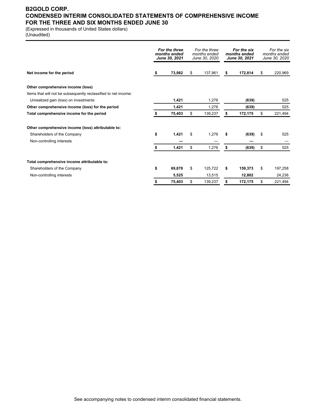# **B2GOLD CORP. CONDENSED INTERIM CONSOLIDATED STATEMENTS OF COMPREHENSIVE INCOME FOR THE THREE AND SIX MONTHS ENDED JUNE 30**

(Expressed in thousands of United States dollars)

(Unaudited)

|                                                                 | For the three<br>For the three<br>months ended<br>months ended<br>June 30, 2021<br>June 30, 2020 |        |    | For the six<br>months ended<br>June 30, 2021 |    | For the six<br>months ended<br>June 30, 2020 |     |         |
|-----------------------------------------------------------------|--------------------------------------------------------------------------------------------------|--------|----|----------------------------------------------|----|----------------------------------------------|-----|---------|
| Net income for the period                                       | S                                                                                                | 73.982 | \$ | 137,961                                      | \$ | 172,814                                      | \$  | 220,969 |
| Other comprehensive income (loss)                               |                                                                                                  |        |    |                                              |    |                                              |     |         |
| Items that will not be subsequently reclassified to net income: |                                                                                                  |        |    |                                              |    |                                              |     |         |
| Unrealized gain (loss) on investments                           |                                                                                                  | 1,421  |    | 1,276                                        |    | (639)                                        |     | 525     |
| Other comprehensive income (loss) for the period                |                                                                                                  | 1,421  |    | 1,276                                        |    | (639)                                        |     | 525     |
| Total comprehensive income for the period                       |                                                                                                  | 75,403 | \$ | 139,237                                      | S  | 172,175                                      | \$  | 221,494 |
| Other comprehensive income (loss) attributable to:              |                                                                                                  |        |    |                                              |    |                                              |     |         |
| Shareholders of the Company                                     | \$                                                                                               | 1,421  | \$ | 1,276                                        | S  | (639)                                        | -\$ | 525     |
| Non-controlling interests                                       |                                                                                                  |        |    |                                              |    |                                              |     |         |
|                                                                 | S                                                                                                | 1,421  | \$ | 1,276                                        | S  | (639)                                        | \$  | 525     |
| Total comprehensive income attributable to:                     |                                                                                                  |        |    |                                              |    |                                              |     |         |
| Shareholders of the Company                                     | \$                                                                                               | 69.878 | \$ | 125.722                                      | S  | 159,373                                      | \$  | 197,258 |
| Non-controlling interests                                       |                                                                                                  | 5,525  |    | 13,515                                       |    | 12,802                                       |     | 24,236  |
|                                                                 |                                                                                                  | 75,403 | \$ | 139,237                                      | \$ | 172,175                                      | \$  | 221,494 |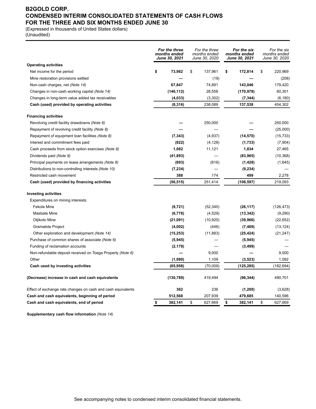# **B2GOLD CORP. CONDENSED INTERIM CONSOLIDATED STATEMENTS OF CASH FLOWS FOR THE THREE AND SIX MONTHS ENDED JUNE 30**

(Expressed in thousands of United States dollars)

(Unaudited)

|                                                              | For the three<br>months ended<br>June 30, 2021 |            | For the three<br>months ended<br>June 30, 2020 |           | For the six<br>months ended<br>June 30, 2021 |            | For the six<br>months ended<br>June 30, 2020 |            |
|--------------------------------------------------------------|------------------------------------------------|------------|------------------------------------------------|-----------|----------------------------------------------|------------|----------------------------------------------|------------|
| <b>Operating activities</b>                                  |                                                |            |                                                |           |                                              |            |                                              |            |
| Net income for the period                                    | \$                                             | 73,982     | \$                                             | 137,961   | \$                                           | 172,814    | \$                                           | 220,969    |
| Mine restoration provisions settled                          |                                                |            |                                                | (19)      |                                              |            |                                              | (208)      |
| Non-cash charges, net (Note 14)                              |                                                | 67,847     |                                                | 74,891    |                                              | 143,046    |                                              | 179,420    |
| Changes in non-cash working capital (Note 14)                |                                                | (146, 112) |                                                | 28,558    |                                              | (170, 978) |                                              | 60,301     |
| Changes in long-term value added tax receivables             |                                                | (4,033)    |                                                | (3,302)   |                                              | (7, 344)   |                                              | (6, 180)   |
| Cash (used) provided by operating activities                 |                                                | (8, 316)   |                                                | 238,089   |                                              | 137,538    |                                              | 454,302    |
| <b>Financing activities</b>                                  |                                                |            |                                                |           |                                              |            |                                              |            |
| Revolving credit facility drawdowns (Note 8)                 |                                                |            |                                                | 250,000   |                                              |            |                                              | 250,000    |
| Repayment of revolving credit facility (Note 8)              |                                                |            |                                                |           |                                              |            |                                              | (25,000)   |
| Repayment of equipment loan facilities (Note 8)              |                                                | (7, 343)   |                                                | (4,937)   |                                              | (14, 570)  |                                              | (15, 733)  |
| Interest and commitment fees paid                            |                                                | (822)      |                                                | (4, 128)  |                                              | (1,733)    |                                              | (7,904)    |
| Cash proceeds from stock option exercises (Note 9)           |                                                | 1,082      |                                                | 11,121    |                                              | 1,834      |                                              | 27,465     |
| Dividends paid (Note 9)                                      |                                                | (41, 893)  |                                                |           |                                              | (83,965)   |                                              | (10, 368)  |
| Principal payments on lease arrangements (Note 8)            |                                                | (693)      |                                                | (816)     |                                              | (1, 428)   |                                              | (1,645)    |
| Distributions to non-controlling interests (Note 10)         |                                                | (7, 234)   |                                                |           |                                              | (9, 234)   |                                              |            |
| Restricted cash movement                                     |                                                | 388        |                                                | 174       |                                              | 499        |                                              | 2,278      |
| Cash (used) provided by financing activities                 |                                                | (56, 515)  |                                                | 251,414   |                                              | (108, 597) |                                              | 219,093    |
| <b>Investing activities</b>                                  |                                                |            |                                                |           |                                              |            |                                              |            |
| Expenditures on mining interests:                            |                                                |            |                                                |           |                                              |            |                                              |            |
| Fekola Mine                                                  |                                                | (8,721)    |                                                | (52, 340) |                                              | (26, 117)  |                                              | (126, 473) |
| <b>Masbate Mine</b>                                          |                                                | (6,778)    |                                                | (4,529)   |                                              | (13, 342)  |                                              | (9,290)    |
| Otjikoto Mine                                                |                                                | (21, 091)  |                                                | (10, 920) |                                              | (39, 966)  |                                              | (22, 652)  |
| <b>Gramalote Project</b>                                     |                                                | (4,002)    |                                                | (446)     |                                              | (7, 469)   |                                              | (13, 124)  |
| Other exploration and development (Note 14)                  |                                                | (15, 253)  |                                                | (11, 883) |                                              | (25, 424)  |                                              | (21, 247)  |
| Purchase of common shares of associate (Note 6)              |                                                | (5, 945)   |                                                |           |                                              | (5, 945)   |                                              |            |
| Funding of reclamation accounts                              |                                                | (2, 178)   |                                                |           |                                              | (3, 499)   |                                              |            |
| Non-refundable deposit received on Toega Property (Note 6)   |                                                |            |                                                | 9,000     |                                              |            |                                              | 9,000      |
| Other                                                        |                                                | (1,990)    |                                                | 1,109     |                                              | (3, 523)   |                                              | 1,092      |
| Cash used by investing activities                            |                                                | (65, 958)  |                                                | (70,009)  |                                              | (125, 285) |                                              | (182, 694) |
| (Decrease) increase in cash and cash equivalents             |                                                | (130, 789) |                                                | 419,494   |                                              | (96, 344)  |                                              | 490,701    |
| Effect of exchange rate changes on cash and cash equivalents |                                                | 362        |                                                | 236       |                                              | (1,200)    |                                              | (3,628)    |
| Cash and cash equivalents, beginning of period               |                                                | 512,568    |                                                | 207,939   |                                              | 479,685    |                                              | 140,596    |
| Cash and cash equivalents, end of period                     | \$                                             | 382,141    | \$                                             | 627,669   | \$                                           | 382,141    | \$                                           | 627,669    |

**Supplementary cash flow information** *(Note 14)*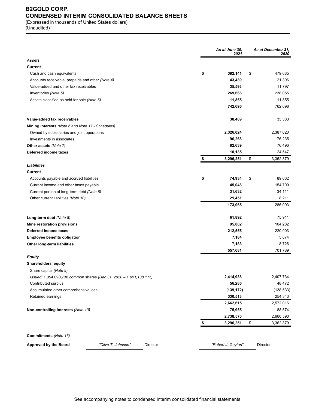# **B2GOLD CORP. CONDENSED INTERIM CONSOLIDATED BALANCE SHEETS**

(Expressed in thousands of United States dollars) (Unaudited)

|                                                                    | As at June 30,<br>2021 | As at December 31,<br>2020 |
|--------------------------------------------------------------------|------------------------|----------------------------|
| Assets                                                             |                        |                            |
| <b>Current</b>                                                     |                        |                            |
| Cash and cash equivalents                                          | \$<br>382,141          | \$<br>479,685              |
| Accounts receivable, prepaids and other (Note 4)                   | 43,439                 | 21,306                     |
| Value-added and other tax receivables                              | 35,593                 | 11,797                     |
| Inventories (Note 5)                                               | 269,668                | 238,055                    |
| Assets classified as held for sale (Note 6)                        | 11,855                 | 11,855                     |
|                                                                    | 742,696                | 762,698                    |
| Value-added tax receivables                                        | 38,489                 | 35,383                     |
| Mining interests (Note 6 and Note 17 - Schedules)                  |                        |                            |
| Owned by subsidiaries and joint operations                         | 2,326,024              | 2,387,020                  |
| Investments in associates                                          | 96,268                 | 76,235                     |
| <b>Other assets (Note 7)</b>                                       | 82,639                 | 76,496                     |
| Deferred income taxes                                              | 10,135                 | 24,547                     |
|                                                                    | \$<br>3,296,251        | \$<br>3,362,379            |
| <b>Liabilities</b>                                                 |                        |                            |
| Current                                                            |                        |                            |
| Accounts payable and accrued liabilities                           | \$<br>74,934           | \$<br>89,062               |
| Current income and other taxes payable                             | 45,048                 | 154,709                    |
| Current portion of long-term debt (Note 8)                         | 31,632                 | 34,111                     |
| Other current liabilities (Note 10)                                | 21,451                 | 8,211                      |
|                                                                    | 173,065                | 286,093                    |
| Long-term debt (Note 8)                                            | 61,892                 | 75,911                     |
| Mine restoration provisions                                        | 95,802                 | 104,282                    |
| Deferred income taxes                                              | 212,555                | 220,903                    |
| <b>Employee benefits obligation</b>                                | 7,184                  | 5,874                      |
| Other long-term liabilities                                        | 7,183                  | 8,726                      |
|                                                                    | 557,681                | 701,789                    |
| <b>Equity</b>                                                      |                        |                            |
| Shareholders' equity                                               |                        |                            |
| Share capital (Note 9)                                             |                        |                            |
| Issued: 1,054,090,730 common shares (Dec 31, 2020 - 1,051,138,175) | 2,414,988              | 2,407,734                  |
| Contributed surplus                                                | 56,286                 | 48,472                     |
| Accumulated other comprehensive loss                               | (139, 172)             | (138, 533)                 |
| Retained earnings                                                  | 330,513                | 254,343                    |
|                                                                    | 2,662,615              | 2,572,016                  |
| Non-controlling interests (Note 10)                                | 75,955                 | 88,574                     |
|                                                                    | 2,738,570              | 2,660,590                  |
|                                                                    | \$<br>3,296,251        | \$<br>3,362,379            |
| Commitments (Note 16)                                              |                        |                            |
| <b>Approved by the Board</b><br>"Clive T. Johnson"<br>Director     | "Robert J. Gayton"     | Director                   |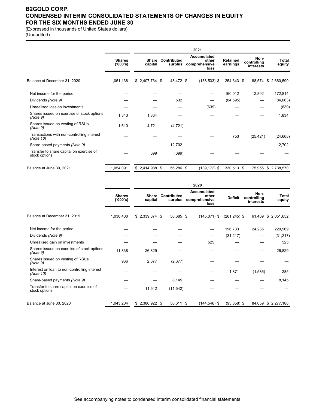# **B2GOLD CORP. CONDENSED INTERIM CONSOLIDATED STATEMENTS OF CHANGES IN EQUITY FOR THE SIX MONTHS ENDED JUNE 30**

(Expressed in thousands of United States dollars) (Unaudited)

|                                                           |                           |                         |                        |           | 2021                                                 |                             |                                  |                     |
|-----------------------------------------------------------|---------------------------|-------------------------|------------------------|-----------|------------------------------------------------------|-----------------------------|----------------------------------|---------------------|
|                                                           | <b>Shares</b><br>('000's) | <b>Share</b><br>capital | Contributed<br>surplus |           | <b>Accumulated</b><br>other<br>comprehensive<br>loss | <b>Retained</b><br>earnings | Non-<br>controlling<br>interests | Total<br>equity     |
| Balance at December 31, 2020                              | 1,051,138                 | $$2,407,734$ \$         | 48,472 \$              |           | $(138, 533)$ \$                                      | 254,343 \$                  |                                  | 88,574 \$ 2,660,590 |
| Net income for the period                                 |                           |                         |                        |           |                                                      | 160,012                     | 12,802                           | 172,814             |
| Dividends (Note 9)                                        |                           |                         |                        | 532       |                                                      | (84, 595)                   |                                  | (84,063)            |
| Unrealised loss on investments                            |                           |                         |                        |           | (639)                                                |                             |                                  | (639)               |
| Shares issued on exercise of stock options<br>(Note 9)    | 1,343                     | 1,834                   |                        |           |                                                      |                             |                                  | 1,834               |
| Shares issued on vesting of RSUs<br>(Note 9)              | 1,610                     | 4,721                   | (4, 721)               |           |                                                      |                             |                                  |                     |
| Transactions with non-controlling interest<br>(Note 10)   |                           |                         |                        |           |                                                      | 753                         | (25, 421)                        | (24, 668)           |
| Share-based payments (Note 9)                             |                           |                         | 12,702                 |           |                                                      |                             |                                  | 12,702              |
| Transfer to share capital on exercise of<br>stock options |                           | 699                     |                        | (699)     |                                                      |                             |                                  |                     |
| Balance at June 30, 2021                                  | 1,054,091                 | $$2,414,988$ \$         |                        | 56,286 \$ | $(139, 172)$ \$                                      | 330,513 \$                  | 75,955                           | \$ 2,738,570        |

|                                                           |                           |                         |                        | 2020                                          |                 |                                  |                 |
|-----------------------------------------------------------|---------------------------|-------------------------|------------------------|-----------------------------------------------|-----------------|----------------------------------|-----------------|
|                                                           | <b>Shares</b><br>('000's) | <b>Share</b><br>capital | Contributed<br>surplus | Accumulated<br>other<br>comprehensive<br>loss | <b>Deficit</b>  | Non-<br>controlling<br>interests | Total<br>equity |
| Balance at December 31, 2019                              | 1,030,400                 | $$2,339,874$ \$         | 56,685 \$              | $(145,071)$ \$                                | $(261, 245)$ \$ | 61,409                           | \$2,051,652     |
| Net income for the period                                 |                           |                         |                        |                                               | 196,733         | 24,236                           | 220,969         |
| Dividends (Note 9)                                        |                           |                         |                        | --                                            | (31, 217)       |                                  | (31, 217)       |
| Unrealised gain on investments                            |                           |                         |                        | 525                                           |                 |                                  | 525             |
| Shares issued on exercise of stock options<br>(Note 9)    | 11,838                    | 26,829                  |                        |                                               |                 |                                  | 26,829          |
| Shares issued on vesting of RSUs<br>(Note 9)              | 966                       | 2,677                   | (2,677)                |                                               |                 |                                  |                 |
| Interest on loan to non-controlling interest<br>(Note 10) |                           |                         |                        |                                               | 1,871           | (1,586)                          | 285             |
| Share-based payments (Note 9)                             |                           |                         | 8,145                  |                                               |                 |                                  | 8,145           |
| Transfer to share capital on exercise of<br>stock options |                           | 11,542                  | (11, 542)              |                                               |                 |                                  |                 |
| Balance at June 30, 2020                                  | 1,043,204                 | $$2,380,922$ \$         | 50,611 \$              | $(144, 546)$ \$                               | $(93,858)$ \$   | 84,059                           | \$2,277,188     |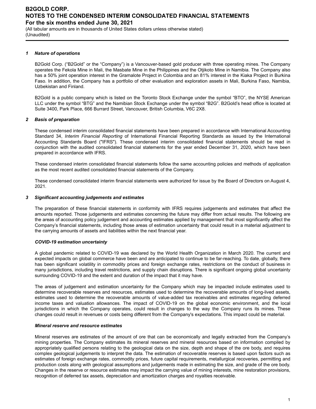(All tabular amounts are in thousands of United States dollars unless otherwise stated) (Unaudited)

#### *1 Nature of operations*

B2Gold Corp. ("B2Gold" or the "Company") is a Vancouver-based gold producer with three operating mines. The Company operates the Fekola Mine in Mali, the Masbate Mine in the Philippines and the Otjikoto Mine in Namibia. The Company also has a 50% joint operation interest in the Gramalote Project in Colombia and an 81% interest in the Kiaka Project in Burkina Faso. In addition, the Company has a portfolio of other evaluation and exploration assets in Mali, Burkina Faso, Namibia, Uzbekistan and Finland.

B2Gold is a public company which is listed on the Toronto Stock Exchange under the symbol "BTO", the NYSE American LLC under the symbol "BTG" and the Namibian Stock Exchange under the symbol "B2G". B2Gold's head office is located at Suite 3400, Park Place, 666 Burrard Street, Vancouver, British Columbia, V6C 2X8.

## *2 Basis of preparation*

These condensed interim consolidated financial statements have been prepared in accordance with International Accounting Standard 34, *Interim Financial Reporting* of International Financial Reporting Standards as issued by the International Accounting Standards Board ("IFRS"). These condensed interim consolidated financial statements should be read in conjunction with the audited consolidated financial statements for the year ended December 31, 2020, which have been prepared in accordance with IFRS.

These condensed interim consolidated financial statements follow the same accounting policies and methods of application as the most recent audited consolidated financial statements of the Company.

These condensed consolidated interim financial statements were authorized for issue by the Board of Directors on August 4, 2021.

#### *3 Significant accounting judgements and estimates*

The preparation of these financial statements in conformity with IFRS requires judgements and estimates that affect the amounts reported. Those judgements and estimates concerning the future may differ from actual results. The following are the areas of accounting policy judgement and accounting estimates applied by management that most significantly affect the Company's financial statements, including those areas of estimation uncertainty that could result in a material adjustment to the carrying amounts of assets and liabilities within the next financial year.

#### *COVID-19 estimation uncertainty*

A global pandemic related to COVID-19 was declared by the World Health Organization in March 2020. The current and expected impacts on global commerce have been and are anticipated to continue to be far-reaching. To date, globally, there has been significant volatility in commodity prices and foreign exchange rates, restrictions on the conduct of business in many jurisdictions, including travel restrictions, and supply chain disruptions. There is significant ongoing global uncertainty surrounding COVID-19 and the extent and duration of the impact that it may have.

The areas of judgement and estimation uncertainty for the Company which may be impacted include estimates used to determine recoverable reserves and resources, estimates used to determine the recoverable amounts of long-lived assets, estimates used to determine the recoverable amounts of value-added tax receivables and estimates regarding deferred income taxes and valuation allowances. The impact of COVID-19 on the global economic environment, and the local jurisdictions in which the Company operates, could result in changes to the way the Company runs its mines. These changes could result in revenues or costs being different from the Company's expectations. This impact could be material.

#### *Mineral reserve and resource estimates*

Mineral reserves are estimates of the amount of ore that can be economically and legally extracted from the Company's mining properties. The Company estimates its mineral reserves and mineral resources based on information compiled by appropriately qualified persons relating to the geological data on the size, depth and shape of the ore body, and requires complex geological judgements to interpret the data. The estimation of recoverable reserves is based upon factors such as estimates of foreign exchange rates, commodity prices, future capital requirements, metallurgical recoveries, permitting and production costs along with geological assumptions and judgements made in estimating the size, and grade of the ore body. Changes in the reserve or resource estimates may impact the carrying value of mining interests, mine restoration provisions, recognition of deferred tax assets, depreciation and amortization charges and royalties receivable.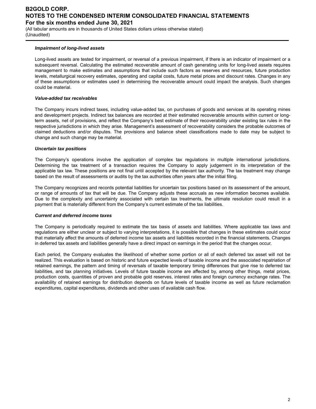(All tabular amounts are in thousands of United States dollars unless otherwise stated) (Unaudited)

## *Impairment of long-lived assets*

Long-lived assets are tested for impairment, or reversal of a previous impairment, if there is an indicator of impairment or a subsequent reversal. Calculating the estimated recoverable amount of cash generating units for long-lived assets requires management to make estimates and assumptions that include such factors as reserves and resources, future production levels, metallurgical recovery estimates, operating and capital costs, future metal prices and discount rates. Changes in any of these assumptions or estimates used in determining the recoverable amount could impact the analysis. Such changes could be material.

#### *Value-added tax receivables*

The Company incurs indirect taxes, including value-added tax, on purchases of goods and services at its operating mines and development projects. Indirect tax balances are recorded at their estimated recoverable amounts within current or longterm assets, net of provisions, and reflect the Company's best estimate of their recoverability under existing tax rules in the respective jurisdictions in which they arise. Management's assessment of recoverability considers the probable outcomes of claimed deductions and/or disputes. The provisions and balance sheet classifications made to date may be subject to change and such change may be material.

## *Uncertain tax positions*

The Company's operations involve the application of complex tax regulations in multiple international jurisdictions. Determining the tax treatment of a transaction requires the Company to apply judgement in its interpretation of the applicable tax law. These positions are not final until accepted by the relevant tax authority. The tax treatment may change based on the result of assessments or audits by the tax authorities often years after the initial filing.

The Company recognizes and records potential liabilities for uncertain tax positions based on its assessment of the amount, or range of amounts of tax that will be due. The Company adjusts these accruals as new information becomes available. Due to the complexity and uncertainty associated with certain tax treatments, the ultimate resolution could result in a payment that is materially different from the Company's current estimate of the tax liabilities.

#### *Current and deferred income taxes*

The Company is periodically required to estimate the tax basis of assets and liabilities. Where applicable tax laws and regulations are either unclear or subject to varying interpretations, it is possible that changes in these estimates could occur that materially affect the amounts of deferred income tax assets and liabilities recorded in the financial statements. Changes in deferred tax assets and liabilities generally have a direct impact on earnings in the period that the changes occur.

Each period, the Company evaluates the likelihood of whether some portion or all of each deferred tax asset will not be realized. This evaluation is based on historic and future expected levels of taxable income and the associated repatriation of retained earnings, the pattern and timing of reversals of taxable temporary timing differences that give rise to deferred tax liabilities, and tax planning initiatives. Levels of future taxable income are affected by, among other things, metal prices, production costs, quantities of proven and probable gold reserves, interest rates and foreign currency exchange rates. The availability of retained earnings for distribution depends on future levels of taxable income as well as future reclamation expenditures, capital expenditures, dividends and other uses of available cash flow.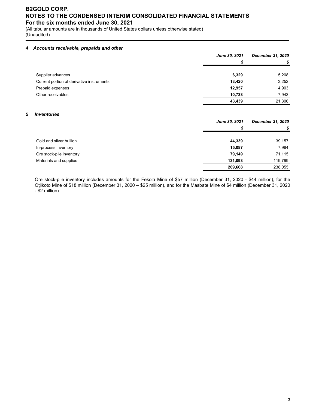(All tabular amounts are in thousands of United States dollars unless otherwise stated) (Unaudited)

## *4 Accounts receivable, prepaids and other*

|                                           | June 30, 2021 | <b>December 31, 2020</b> |
|-------------------------------------------|---------------|--------------------------|
|                                           |               |                          |
|                                           |               |                          |
| Supplier advances                         | 6,329         | 5,208                    |
| Current portion of derivative instruments | 13,420        | 3,252                    |
| Prepaid expenses                          | 12,957        | 4,903                    |
| Other receivables                         | 10,733        | 7,943                    |
|                                           | 43,439        | 21,306                   |

## *5 Inventories*

|                          | June 30, 2021 | December 31, 2020 |
|--------------------------|---------------|-------------------|
|                          | S             |                   |
| Gold and silver bullion  | 44,339        | 39,157            |
| In-process inventory     | 15,087        | 7,984             |
| Ore stock-pile inventory | 79,149        | 71,115            |
| Materials and supplies   | 131.093       | 119,799           |
|                          | 269,668       | 238,055           |

Ore stock-pile inventory includes amounts for the Fekola Mine of \$57 million (December 31, 2020 - \$44 million), for the Otjikoto Mine of \$18 million (December 31, 2020 – \$25 million), and for the Masbate Mine of \$4 million (December 31, 2020 - \$2 million).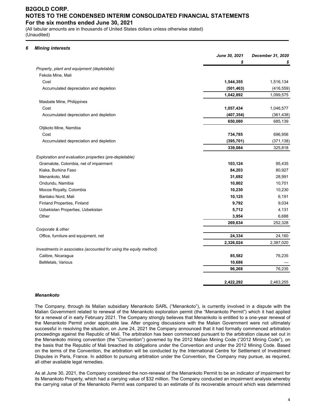(All tabular amounts are in thousands of United States dollars unless otherwise stated) (Unaudited)

## *6 Mining interests*

|                                                                   | June 30, 2021 | December 31, 2020 |
|-------------------------------------------------------------------|---------------|-------------------|
|                                                                   | \$            | \$                |
| Property, plant and equipment (depletable)                        |               |                   |
| Fekola Mine, Mali                                                 |               |                   |
| Cost                                                              | 1,544,355     | 1,516,134         |
| Accumulated depreciation and depletion                            | (501, 463)    | (416, 559)        |
|                                                                   | 1,042,892     | 1,099,575         |
| Masbate Mine, Philippines                                         |               |                   |
| Cost                                                              | 1,057,434     | 1,046,577         |
| Accumulated depreciation and depletion                            | (407, 354)    | (361, 438)        |
|                                                                   | 650,080       | 685,139           |
| Otjikoto Mine, Namibia                                            |               |                   |
| Cost                                                              | 734,785       | 696,956           |
| Accumulated depreciation and depletion                            | (395, 701)    | (371, 138)        |
|                                                                   | 339,084       | 325,818           |
| Exploration and evaluation properties (pre-depletable)            |               |                   |
| Gramalote, Colombia, net of impairment                            | 103,124       | 95,435            |
| Kiaka, Burkina Faso                                               | 84,203        | 80,927            |
| Menankoto, Mali                                                   | 31,692        | 28,991            |
| Ondundu, Namibia                                                  | 10,802        | 10,701            |
| Mocoa Royalty, Colombia                                           | 10,230        | 10,230            |
| Bantako Nord, Mali                                                | 10,125        | 6,191             |
| Finland Properties, Finland                                       | 9,792         | 9,034             |
| Uzbekistan Properties, Uzbekistan                                 | 5,712         | 4,131             |
| Other                                                             | 3,954         | 6,688             |
|                                                                   | 269,634       | 252,328           |
| Corporate & other                                                 |               |                   |
| Office, furniture and equipment, net                              | 24,334        | 24,160            |
|                                                                   | 2,326,024     | 2,387,020         |
| Investments in associates (accounted for using the equity method) |               |                   |
| Calibre, Nicaragua                                                | 85,582        | 76,235            |
| BeMetals, Various                                                 | 10,686        |                   |
|                                                                   | 96,268        | 76,235            |
|                                                                   |               |                   |
|                                                                   | 2,422,292     | 2,463,255         |

#### *Menankoto*

The Company, through its Malian subsidiary Menankoto SARL ("Menankoto"), is currently involved in a dispute with the Malian Government related to renewal of the Menankoto exploration permit (the "Menankoto Permit") which it had applied for a renewal of in early February 2021. The Company strongly believes that Menankoto is entitled to a one-year renewal of the Menankoto Permit under applicable law. After ongoing discussions with the Malian Government were not ultimately successful in resolving the situation, on June 24, 2021 the Company announced that it had formally commenced arbitration proceedings against the Republic of Mali. The arbitration has been commenced pursuant to the arbitration clause set out in the Menankoto mining convention (the "Convention") governed by the 2012 Malian Mining Code ("2012 Mining Code"), on the basis that the Republic of Mali breached its obligations under the Convention and under the 2012 Mining Code. Based on the terms of the Convention, the arbitration will be conducted by the International Centre for Settlement of Investment Disputes in Paris, France. In addition to pursuing arbitration under the Convention, the Company may pursue, as required, all other available legal remedies.

As at June 30, 2021, the Company considered the non-renewal of the Menankoto Permit to be an indicator of impairment for its Menankoto Property, which had a carrying value of \$32 million. The Company conducted an impairment analysis whereby the carrying value of the Menankoto Permit was compared to an estimate of its recoverable amount which was determined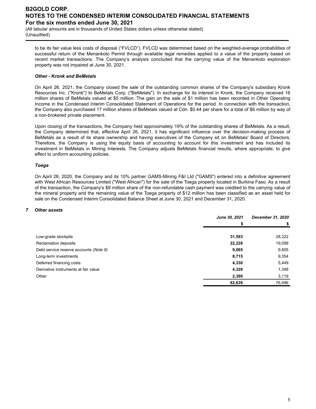(All tabular amounts are in thousands of United States dollars unless otherwise stated) (Unaudited)

to be its fair value less costs of disposal ("FVLCD"). FVLCD was determined based on the weighted-average probabilities of successful return of the Menankoto Permit through available legal remedies applied to a value of the property based on recent market transactions. The Company's analysis concluded that the carrying value of the Menankoto exploration property was not impaired at June 30, 2021.

## *Other - Kronk and BeMetals*

On April 26, 2021, the Company closed the sale of the outstanding common shares of the Company's subsidiary Kronk Resources Inc. ("Kronk") to BeMetals Corp. ("BeMetals"). In exchange for its interest in Kronk, the Company received 16 million shares of BeMetals valued at \$5 million. The gain on the sale of \$1 million has been recorded in Other Operating Income in the Condensed Interim Consolidated Statement of Operations for the period. In connection with the transaction, the Company also purchased 17 million shares of BeMetals valued at Cdn. \$0.44 per share for a total of \$6 million by way of a non-brokered private placement.

Upon closing of the transactions, the Company held approximately 19% of the outstanding shares of BeMetals. As a result, the Company determined that, effective April 26, 2021, it has significant influence over the decision-making process of BeMetals as a result of its share ownership and having executives of the Company sit on BeMetals' Board of Directors. Therefore, the Company is using the equity basis of accounting to account for this investment and has included its investment in BeMetals in Mining Interests. The Company adjusts BeMetals financial results, where appropriate, to give effect to uniform accounting policies.

## *Toega*

On April 28, 2020, the Company and its 10% partner GAMS-Mining F&I Ltd ("GAMS") entered into a definitive agreement with West African Resources Limited ("West African") for the sale of the Toega property located in Burkina Faso. As a result of the transaction, the Company's \$9 million share of the non-refundable cash payment was credited to the carrying value of the mineral property and the remaining value of the Toega property of \$12 million has been classified as an asset held for sale on the Condensed Interim Consolidated Balance Sheet at June 30, 2021 and December 31, 2020.

#### *7 Other assets*

|                                        | June 30, 2021 | December 31, 2020 |
|----------------------------------------|---------------|-------------------|
|                                        | S             | \$                |
|                                        |               |                   |
| Low-grade stockpile                    | 31,593        | 28,322            |
| Reclamation deposits                   | 22,228        | 19,099            |
| Debt service reserve accounts (Note 8) | 9,065         | 9,805             |
| Long-term investments                  | 8,715         | 9,354             |
| Deferred financing costs               | 4,330         | 5,449             |
| Derivative instruments at fair value   | 4,328         | 1,348             |
| Other                                  | 2,380         | 3,119             |
|                                        | 82,639        | 76,496            |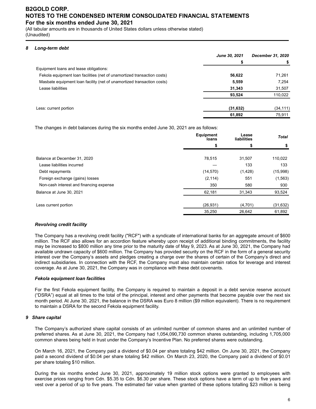(All tabular amounts are in thousands of United States dollars unless otherwise stated) (Unaudited)

## *8 Long-term debt*

|                                                                         | <b>June 30, 2021</b> | December 31, 2020 |
|-------------------------------------------------------------------------|----------------------|-------------------|
|                                                                         | \$                   |                   |
| Equipment loans and lease obligations:                                  |                      |                   |
| Fekola equipment loan facilities (net of unamortized transaction costs) | 56,622               | 71,261            |
| Masbate equipment loan facility (net of unamortized transaction costs)  | 5,559                | 7,254             |
| Lease liabilities                                                       | 31,343               | 31,507            |
|                                                                         | 93,524               | 110,022           |
| Less: current portion                                                   | (31, 632)            | (34, 111)         |
|                                                                         | 61,892               | 75,911            |

The changes in debt balances during the six months ended June 30, 2021 are as follows:

|                                         | <b>Equipment</b><br>loans | Lease<br>liabilities | <b>Total</b> |
|-----------------------------------------|---------------------------|----------------------|--------------|
|                                         | \$                        | \$                   | \$           |
| Balance at December 31, 2020            | 78,515                    | 31,507               | 110,022      |
| Lease liabilities incurred              |                           | 133                  | 133          |
| Debt repayments                         | (14, 570)                 | (1,428)              | (15,998)     |
| Foreign exchange (gains) losses         | (2, 114)                  | 551                  | (1, 563)     |
| Non-cash interest and financing expense | 350                       | 580                  | 930          |
| Balance at June 30, 2021                | 62,181                    | 31,343               | 93,524       |
| Less current portion                    | (26, 931)                 | (4,701)              | (31, 632)    |
|                                         | 35,250                    | 26,642               | 61,892       |

## *Revolving credit facility*

The Company has a revolving credit facility ("RCF") with a syndicate of international banks for an aggregate amount of \$600 million. The RCF also allows for an accordion feature whereby upon receipt of additional binding commitments, the facility may be increased to \$800 million any time prior to the maturity date of May 9, 2023. As at June 30, 2021, the Company had available undrawn capacity of \$600 million. The Company has provided security on the RCF in the form of a general security interest over the Company's assets and pledges creating a charge over the shares of certain of the Company's direct and indirect subsidiaries. In connection with the RCF, the Company must also maintain certain ratios for leverage and interest coverage. As at June 30, 2021, the Company was in compliance with these debt covenants.

## *Fekola equipment loan facilities*

For the first Fekola equipment facility, the Company is required to maintain a deposit in a debt service reserve account ("DSRA") equal at all times to the total of the principal, interest and other payments that become payable over the next six month period. At June 30, 2021, the balance in the DSRA was Euro 8 million (\$9 million equivalent). There is no requirement to maintain a DSRA for the second Fekola equipment facility.

## *9 Share capital*

The Company's authorized share capital consists of an unlimited number of common shares and an unlimited number of preferred shares. As at June 30, 2021, the Company had 1,054,090,730 common shares outstanding, including 1,705,000 common shares being held in trust under the Company's Incentive Plan. No preferred shares were outstanding.

On March 16, 2021, the Company paid a dividend of \$0.04 per share totaling \$42 million. On June 30, 2021, the Company paid a second dividend of \$0.04 per share totaling \$42 million. On March 23, 2020, the Company paid a dividend of \$0.01 per share totaling \$10 million.

During the six months ended June 30, 2021, approximately 19 million stock options were granted to employees with exercise prices ranging from Cdn. \$5.35 to Cdn. \$6.30 per share. These stock options have a term of up to five years and vest over a period of up to five years. The estimated fair value when granted of these options totalling \$23 million is being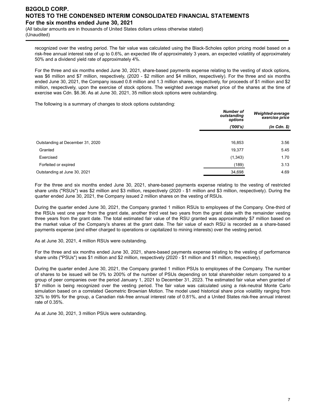(All tabular amounts are in thousands of United States dollars unless otherwise stated) (Unaudited)

recognized over the vesting period. The fair value was calculated using the Black-Scholes option pricing model based on a risk-free annual interest rate of up to 0.6%, an expected life of approximately 3 years, an expected volatility of approximately 50% and a dividend yield rate of approximately 4%.

For the three and six months ended June 30, 2021, share-based payments expense relating to the vesting of stock options, was \$6 million and \$7 million, respectively, (2020 - \$2 million and \$4 million, respectively). For the three and six months ended June 30, 2021, the Company issued 0.8 million and 1.3 million shares, respectively, for proceeds of \$1 million and \$2 million, respectively, upon the exercise of stock options. The weighted average market price of the shares at the time of exercise was Cdn. \$6.36. As at June 30, 2021, 35 million stock options were outstanding.

The following is a summary of changes to stock options outstanding:

|                                  | <b>Number of</b><br>outstanding<br>options | Weighted-average<br>exercise price |  |
|----------------------------------|--------------------------------------------|------------------------------------|--|
|                                  | (′000′s)                                   | $(in$ $Cdn.$ $\$                   |  |
|                                  |                                            |                                    |  |
| Outstanding at December 31, 2020 | 16,853                                     | 3.56                               |  |
| Granted                          | 19,377                                     | 5.45                               |  |
| Exercised                        | (1, 343)                                   | 1.70                               |  |
| Forfeited or expired             | (189)                                      | 3.13                               |  |
| Outstanding at June 30, 2021     | 34,698                                     | 4.69                               |  |

For the three and six months ended June 30, 2021, share-based payments expense relating to the vesting of restricted share units ("RSUs") was \$2 million and \$3 million, respectively (2020 - \$1 million and \$3 million, respectively). During the quarter ended June 30, 2021, the Company issued 2 million shares on the vesting of RSUs.

During the quarter ended June 30, 2021, the Company granted 1 million RSUs to employees of the Company. One-third of the RSUs vest one year from the grant date, another third vest two years from the grant date with the remainder vesting three years from the grant date. The total estimated fair value of the RSU granted was approximately \$7 million based on the market value of the Company's shares at the grant date. The fair value of each RSU is recorded as a share-based payments expense (and either charged to operations or capitalized to mining interests) over the vesting period.

As at June 30, 2021, 4 million RSUs were outstanding.

For the three and six months ended June 30, 2021, share-based payments expense relating to the vesting of performance share units ("PSUs") was \$1 million and \$2 million, respectively (2020 - \$1 million and \$1 million, respectively).

During the quarter ended June 30, 2021, the Company granted 1 million PSUs to employees of the Company. The number of shares to be issued will be 0% to 200% of the number of PSUs depending on total shareholder return compared to a group of peer companies over the period January 1, 2021 to December 31, 2023. The estimated fair value when granted of \$7 million is being recognized over the vesting period. The fair value was calculated using a risk-neutral Monte Carlo simulation based on a correlated Geometric Brownian Motion. The model used historical share price volatility ranging from 32% to 99% for the group, a Canadian risk-free annual interest rate of 0.81%, and a United States risk-free annual interest rate of 0.35%.

As at June 30, 2021, 3 million PSUs were outstanding.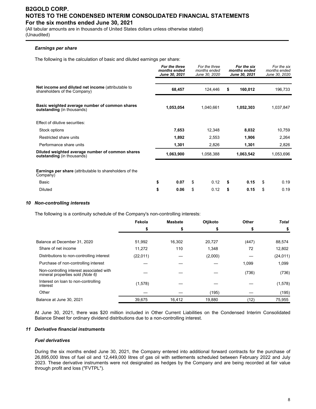(All tabular amounts are in thousands of United States dollars unless otherwise stated) (Unaudited)

## *Earnings per share*

The following is the calculation of basic and diluted earnings per share:

|                                                                                       | For the three<br>months ended<br>June 30, 2021 | For the three<br>months ended<br>June 30, 2020 | For the six<br>months ended<br>June 30, 2021 | For the six<br>months ended<br>June 30, 2020 |
|---------------------------------------------------------------------------------------|------------------------------------------------|------------------------------------------------|----------------------------------------------|----------------------------------------------|
| Net income and diluted net income (attributable to<br>shareholders of the Company)    | 68,457                                         | 124,446                                        | \$<br>160,012                                | 196,733                                      |
| Basic weighted average number of common shares<br>outstanding (in thousands)          | 1,053,054                                      | 1,040,661                                      | 1,052,303                                    | 1,037,847                                    |
| Effect of dilutive securities:                                                        |                                                |                                                |                                              |                                              |
| Stock options                                                                         | 7,653                                          | 12,348                                         | 8,032                                        | 10,759                                       |
| Restricted share units                                                                | 1,892                                          | 2,553                                          | 1,906                                        | 2,264                                        |
| Performance share units                                                               | 1,301                                          | 2,826                                          | 1,301                                        | 2,826                                        |
| Diluted weighted average number of common shares<br><b>outstanding</b> (in thousands) | 1,063,900                                      | 1,058,388                                      | 1,063,542                                    | 1,053,696                                    |
| <b>Earnings per share</b> (attributable to shareholders of the<br>Company)            |                                                |                                                |                                              |                                              |
| Basic                                                                                 | \$<br>0.07                                     | \$<br>0.12                                     | \$<br>0.15                                   | \$<br>0.19                                   |
| <b>Diluted</b>                                                                        | \$<br>0.06                                     | \$<br>0.12                                     | \$<br>0.15                                   | \$<br>0.19                                   |

#### *10 Non-controlling interests*

The following is a continuity schedule of the Company's non-controlling interests:

|                                                                              | Fekola    | <b>Masbate</b> | Otjikoto | Other | <b>Total</b> |
|------------------------------------------------------------------------------|-----------|----------------|----------|-------|--------------|
|                                                                              | \$        |                |          | S     |              |
|                                                                              |           |                |          |       |              |
| Balance at December 31, 2020                                                 | 51,992    | 16.302         | 20,727   | (447) | 88,574       |
| Share of net income                                                          | 11,272    | 110            | 1,348    | 72    | 12,802       |
| Distributions to non-controlling interest                                    | (22, 011) |                | (2,000)  |       | (24, 011)    |
| Purchase of non-controlling interest                                         |           |                |          | 1,099 | 1,099        |
| Non-controlling interest associated with<br>mineral properties sold (Note 6) |           |                |          | (736) | (736)        |
| Interest on loan to non-controlling<br>interest                              | (1,578)   |                |          |       | (1, 578)     |
| Other                                                                        |           |                | (195)    |       | (195)        |
| Balance at June 30, 2021                                                     | 39,675    | 16,412         | 19,880   | (12)  | 75,955       |

At June 30, 2021, there was \$20 million included in Other Current Liabilities on the Condensed Interim Consolidated Balance Sheet for ordinary dividend distributions due to a non-controlling interest.

#### *11 Derivative financial instruments*

## *Fuel derivatives*

During the six months ended June 30, 2021, the Company entered into additional forward contracts for the purchase of 26,895,000 litres of fuel oil and 12,449,000 litres of gas oil with settlements scheduled between February 2022 and July 2023. These derivative instruments were not designated as hedges by the Company and are being recorded at fair value through profit and loss ("FVTPL").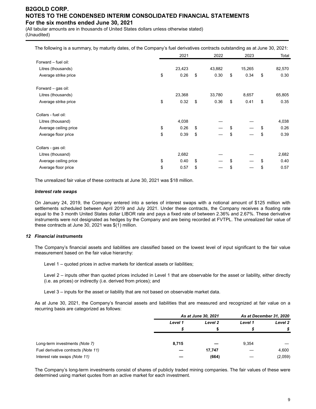(All tabular amounts are in thousands of United States dollars unless otherwise stated) (Unaudited)

| The following is a summary, by maturity dates, of the Company's fuel derivatives contracts outstanding as at June 30, 2021: |  |  |  |
|-----------------------------------------------------------------------------------------------------------------------------|--|--|--|
|                                                                                                                             |  |  |  |

|                       | 2021       | 2022       | 2023       | Total      |
|-----------------------|------------|------------|------------|------------|
| Forward - fuel oil:   |            |            |            |            |
| Litres (thousands)    | 23,423     | 43,882     | 15,265     | 82,570     |
| Average strike price  | \$<br>0.26 | \$<br>0.30 | \$<br>0.34 | \$<br>0.30 |
| Forward - gas oil:    |            |            |            |            |
| Litres (thousands)    | 23,368     | 33,780     | 8,657      | 65,805     |
| Average strike price  | \$<br>0.32 | \$<br>0.36 | \$<br>0.41 | \$<br>0.35 |
| Collars - fuel oil:   |            |            |            |            |
| Litres (thousand)     | 4,038      |            |            | 4,038      |
| Average ceiling price | \$<br>0.26 | \$         | \$         | \$<br>0.26 |
| Average floor price   | \$<br>0.39 | \$         | \$         | \$<br>0.39 |
| Collars - gas oil:    |            |            |            |            |
| Litres (thousand)     | 2,682      |            |            | 2,682      |
| Average ceiling price | \$<br>0.40 | \$         | \$         | \$<br>0.40 |
| Average floor price   | \$<br>0.57 | \$         | \$         | \$<br>0.57 |

The unrealized fair value of these contracts at June 30, 2021 was \$18 million.

#### *Interest rate swaps*

On January 24, 2019, the Company entered into a series of interest swaps with a notional amount of \$125 million with settlements scheduled between April 2019 and July 2021. Under these contracts, the Company receives a floating rate equal to the 3 month United States dollar LIBOR rate and pays a fixed rate of between 2.36% and 2.67%. These derivative instruments were not designated as hedges by the Company and are being recorded at FVTPL. The unrealized fair value of these contracts at June 30, 2021 was \$(1) million.

#### *12 Financial instruments*

The Company's financial assets and liabilities are classified based on the lowest level of input significant to the fair value measurement based on the fair value hierarchy:

Level 1 – quoted prices in active markets for identical assets or liabilities;

Level 2 – inputs other than quoted prices included in Level 1 that are observable for the asset or liability, either directly (i.e. as prices) or indirectly (i.e. derived from prices); and

Level 3 – inputs for the asset or liability that are not based on observable market data.

As at June 30, 2021, the Company's financial assets and liabilities that are measured and recognized at fair value on a recurring basis are categorized as follows:

|                                     |         | As at June 30, 2021 |         |         |
|-------------------------------------|---------|---------------------|---------|---------|
|                                     | Level 1 | Level 2             | Level 1 | Level 2 |
|                                     |         |                     |         |         |
|                                     |         |                     |         |         |
| Long-term investments (Note 7)      | 8,715   |                     | 9,354   |         |
| Fuel derivative contracts (Note 11) |         | 17,747              |         | 4,600   |
| Interest rate swaps (Note 11)       |         | (664)               |         | (2,059) |

The Company's long-term investments consist of shares of publicly traded mining companies. The fair values of these were determined using market quotes from an active market for each investment.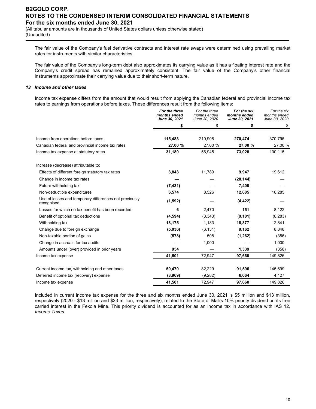(All tabular amounts are in thousands of United States dollars unless otherwise stated) (Unaudited)

The fair value of the Company's fuel derivative contracts and interest rate swaps were determined using prevailing market rates for instruments with similar characteristics.

The fair value of the Company's long-term debt also approximates its carrying value as it has a floating interest rate and the Company's credit spread has remained approximately consistent. The fair value of the Company's other financial instruments approximate their carrying value due to their short-term nature.

#### *13 Income and other taxes*

Income tax expense differs from the amount that would result from applying the Canadian federal and provincial income tax rates to earnings from operations before taxes. These differences result from the following items:

|                                                                      | For the three<br>months ended<br>June 30, 2021 | For the three<br>months ended<br>June 30, 2020 | For the six<br>months ended<br>June 30, 2021 | For the six<br>months ended<br>June 30, 2020 |
|----------------------------------------------------------------------|------------------------------------------------|------------------------------------------------|----------------------------------------------|----------------------------------------------|
|                                                                      | \$                                             | \$                                             | \$                                           | \$                                           |
| Income from operations before taxes                                  | 115,483                                        | 210,908                                        | 270,474                                      | 370,795                                      |
| Canadian federal and provincial income tax rates                     | 27.00 %                                        | 27.00 %                                        | 27.00 %                                      | 27.00 %                                      |
| Income tax expense at statutory rates                                | 31,180                                         | 56,945                                         | 73,028                                       | 100,115                                      |
| Increase (decrease) attributable to:                                 |                                                |                                                |                                              |                                              |
| Effects of different foreign statutory tax rates                     | 3,843                                          | 11,789                                         | 9,947                                        | 19,612                                       |
| Change in income tax rates                                           |                                                |                                                | (20, 144)                                    |                                              |
| Future withholding tax                                               | (7, 431)                                       |                                                | 7,400                                        |                                              |
| Non-deductible expenditures                                          | 6,574                                          | 8,526                                          | 12,685                                       | 16,285                                       |
| Use of losses and temporary differences not previously<br>recognised | (1, 592)                                       |                                                | (4, 422)                                     |                                              |
| Losses for which no tax benefit has been recorded                    | 6                                              | 2,470                                          | 151                                          | 8,122                                        |
| Benefit of optional tax deductions                                   | (4, 594)                                       | (3,343)                                        | (9, 101)                                     | (6, 283)                                     |
| Withholding tax                                                      | 18,175                                         | 1,183                                          | 18,877                                       | 2,841                                        |
| Change due to foreign exchange                                       | (5,036)                                        | (6, 131)                                       | 9,162                                        | 8,848                                        |
| Non-taxable portion of gains                                         | (578)                                          | 508                                            | (1,262)                                      | (356)                                        |
| Change in accruals for tax audits                                    |                                                | 1,000                                          |                                              | 1,000                                        |
| Amounts under (over) provided in prior years                         | 954                                            |                                                | 1,339                                        | (358)                                        |
| Income tax expense                                                   | 41,501                                         | 72,947                                         | 97,660                                       | 149,826                                      |
| Current income tax, withholding and other taxes                      | 50,470                                         | 82,229                                         | 91,596                                       | 145,699                                      |
| Deferred income tax (recovery) expense                               | (8,969)                                        | (9,282)                                        | 6,064                                        | 4,127                                        |
| Income tax expense                                                   | 41,501                                         | 72,947                                         | 97,660                                       | 149,826                                      |

Included in current income tax expense for the three and six months ended June 30, 2021 is \$5 million and \$13 million, respectively (2020 - \$13 million and \$23 million, respectively), related to the State of Mali's 10% priority dividend on its free carried interest in the Fekola Mine. This priority dividend is accounted for as an income tax in accordance with IAS 12, *Income Taxes.*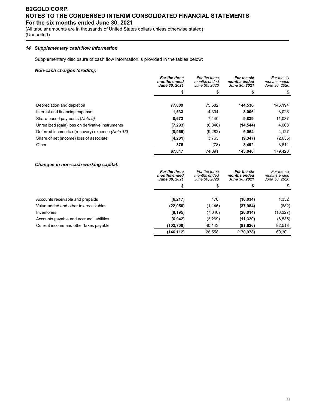(All tabular amounts are in thousands of United States dollars unless otherwise stated) (Unaudited)

## *14 Supplementary cash flow information*

Supplementary disclosure of cash flow information is provided in the tables below:

## *Non-cash charges (credits):*

|                                                  | For the three<br>months ended<br>June 30, 2021 | For the three<br>months ended<br>June 30, 2020 | For the six<br>months ended<br>June 30, 2021 | For the six<br>months ended<br>June 30, 2020 |
|--------------------------------------------------|------------------------------------------------|------------------------------------------------|----------------------------------------------|----------------------------------------------|
|                                                  |                                                |                                                |                                              |                                              |
|                                                  |                                                |                                                |                                              |                                              |
| Depreciation and depletion                       | 77,809                                         | 75,582                                         | 144,536                                      | 146,194                                      |
| Interest and financing expense                   | 1,533                                          | 4.304                                          | 3,006                                        | 8,028                                        |
| Share-based payments (Note 9)                    | 8,673                                          | 7.440                                          | 9,839                                        | 11,087                                       |
| Unrealized (gain) loss on derivative instruments | (7, 293)                                       | (6, 840)                                       | (14, 544)                                    | 4,008                                        |
| Deferred income tax (recovery) expense (Note 13) | (8,969)                                        | (9,282)                                        | 6,064                                        | 4,127                                        |
| Share of net (income) loss of associate          | (4,281)                                        | 3,765                                          | (9, 347)                                     | (2,635)                                      |
| Other                                            | 375                                            | (78)                                           | 3,492                                        | 8,611                                        |
|                                                  | 67.847                                         | 74.891                                         | 143.046                                      | 179.420                                      |

## *Changes in non-cash working capital:*

|                                          | For the three<br>months ended<br><b>June 30, 2021</b> | For the three<br>months ended<br>June 30, 2020 | For the six<br>months ended<br><b>June 30, 2021</b> | For the six<br>months ended<br>June 30, 2020 |
|------------------------------------------|-------------------------------------------------------|------------------------------------------------|-----------------------------------------------------|----------------------------------------------|
|                                          |                                                       |                                                |                                                     |                                              |
|                                          |                                                       |                                                |                                                     |                                              |
| Accounts receivable and prepaids         | (6, 217)                                              | 470                                            | (10, 034)                                           | 1,332                                        |
| Value-added and other tax receivables    | (22,050)                                              | (1, 146)                                       | (37, 984)                                           | (682)                                        |
| Inventories                              | (8, 195)                                              | (7,640)                                        | (20, 014)                                           | (16, 327)                                    |
| Accounts payable and accrued liabilities | (6, 942)                                              | (3,269)                                        | (11, 320)                                           | (6, 535)                                     |
| Current income and other taxes payable   | (102,708)                                             | 40,143                                         | (91, 626)                                           | 82,513                                       |
|                                          | (146,112)                                             | 28,558                                         | (170, 978)                                          | 60,301                                       |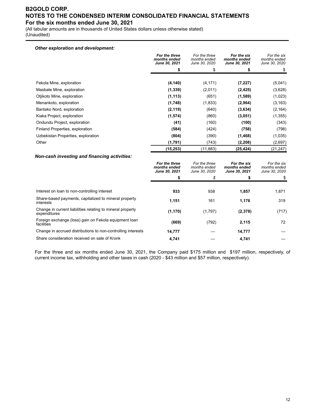(All tabular amounts are in thousands of United States dollars unless otherwise stated) (Unaudited)

## *Other exploration and development:*

|                                    | For the three<br>months ended<br>June 30, 2021 | For the three<br>months ended<br>June 30, 2020 | For the six<br>months ended<br>June 30, 2021 | For the six<br>months ended<br>June 30, 2020 |
|------------------------------------|------------------------------------------------|------------------------------------------------|----------------------------------------------|----------------------------------------------|
|                                    | \$                                             |                                                |                                              |                                              |
|                                    |                                                |                                                |                                              |                                              |
| Fekola Mine, exploration           | (4, 140)                                       | (4, 171)                                       | (7, 227)                                     | (5,041)                                      |
| Masbate Mine, exploration          | (1, 339)                                       | (2,011)                                        | (2, 425)                                     | (3,628)                                      |
| Otjikoto Mine, exploration         | (1, 113)                                       | (651)                                          | (1,589)                                      | (1,023)                                      |
| Menankoto, exploration             | (1,748)                                        | (1,833)                                        | (2,964)                                      | (3, 163)                                     |
| Bantako Nord, exploration          | (2, 119)                                       | (640)                                          | (3,634)                                      | (2, 164)                                     |
| Kiaka Project, exploration         | (1,574)                                        | (860)                                          | (3,051)                                      | (1, 355)                                     |
| Ondundu Project, exploration       | (41)                                           | (160)                                          | (100)                                        | (343)                                        |
| Finland Properties, exploration    | (584)                                          | (424)                                          | (758)                                        | (798)                                        |
| Uzbekistan Properties, exploration | (804)                                          | (390)                                          | (1,468)                                      | (1,035)                                      |
| Other                              | (1,791)                                        | (743)                                          | (2,208)                                      | (2,697)                                      |
|                                    | (15, 253)                                      | (11, 883)                                      | (25, 424)                                    | (21, 247)                                    |

#### *Non-cash investing and financing activities:*

|                                                                            | For the three<br>months ended<br>June 30, 2021 | For the three<br>months ended<br>June 30, 2020 | For the six<br>months ended<br>June 30, 2021 | For the six<br>months ended<br>June 30, 2020 |
|----------------------------------------------------------------------------|------------------------------------------------|------------------------------------------------|----------------------------------------------|----------------------------------------------|
|                                                                            | \$                                             | \$                                             |                                              |                                              |
| Interest on loan to non-controlling interest                               | 933                                            | 938                                            | 1,857                                        | 1,871                                        |
| Share-based payments, capitalized to mineral property<br>interests         | 1,151                                          | 161                                            | 1,176                                        | 319                                          |
| Change in current liabilities relating to mineral property<br>expenditures | (1, 170)                                       | (1,797)                                        | (2,378)                                      | (717)                                        |
| Foreign exchange (loss) gain on Fekola equipment loan<br>facilities        | (669)                                          | (792)                                          | 2,115                                        | 72                                           |
| Change in accrued distributions to non-controlling interests               | 14,777                                         |                                                | 14,777                                       |                                              |
| Share consideration received on sale of Kronk                              | 4.741                                          |                                                | 4.741                                        |                                              |

For the three and six months ended June 30, 2021, the Company paid \$175 million and \$197 million, respectively, of current income tax, withholding and other taxes in cash (2020 - \$43 million and \$57 million, respectively).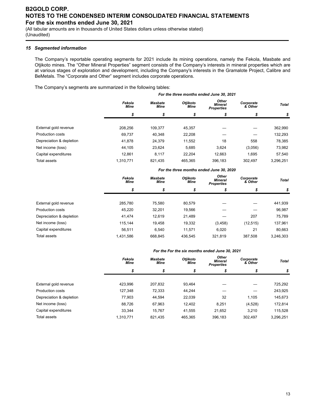(All tabular amounts are in thousands of United States dollars unless otherwise stated) (Unaudited)

## *15 Segmented information*

The Company's reportable operating segments for 2021 include its mining operations, namely the Fekola, Masbate and Otjikoto mines. The "Other Mineral Properties" segment consists of the Company's interests in mineral properties which are at various stages of exploration and development, including the Company's interests in the Gramalote Project, Calibre and BeMetals. The "Corporate and Other" segment includes corporate operations.

The Company's segments are summarized in the following tables:

|                          | For the three months ended June 30, 2021 |                        |                         |                                              |                      |              |  |  |
|--------------------------|------------------------------------------|------------------------|-------------------------|----------------------------------------------|----------------------|--------------|--|--|
|                          | Fekola<br><b>Mine</b>                    | Masbate<br><b>Mine</b> | Otjikoto<br><b>Mine</b> | Other<br><b>Mineral</b><br><b>Properties</b> | Corporate<br>& Other | <b>Total</b> |  |  |
|                          | \$                                       | \$                     | \$                      | \$                                           | \$                   | \$           |  |  |
| External gold revenue    | 208.256                                  | 109,377                | 45,357                  |                                              |                      | 362,990      |  |  |
| <b>Production costs</b>  | 69.737                                   | 40.348                 | 22,208                  |                                              |                      | 132,293      |  |  |
| Depreciation & depletion | 41.878                                   | 24.379                 | 11,552                  | 18                                           | 558                  | 78,385       |  |  |
| Net income (loss)        | 44,105                                   | 23.624                 | 5,685                   | 3,624                                        | (3,056)              | 73,982       |  |  |
| Capital expenditures     | 12.861                                   | 8.117                  | 22.204                  | 12.663                                       | 1.695                | 57.540       |  |  |
| <b>Total assets</b>      | 1,310,771                                | 821.435                | 465.365                 | 396.183                                      | 302.497              | 3.296.251    |  |  |

|                          | For the three months ended June 30, 2020 |                                                   |         |                                              |                      |              |  |  |  |  |
|--------------------------|------------------------------------------|---------------------------------------------------|---------|----------------------------------------------|----------------------|--------------|--|--|--|--|
|                          | Fekola<br><b>Mine</b>                    | Otjikoto<br><b>Masbate</b><br><b>Mine</b><br>Mine |         | Other<br><b>Mineral</b><br><b>Properties</b> | Corporate<br>& Other | <b>Total</b> |  |  |  |  |
|                          | \$                                       | \$                                                | \$      | S                                            |                      | \$           |  |  |  |  |
|                          |                                          |                                                   |         |                                              |                      |              |  |  |  |  |
| External gold revenue    | 285.780                                  | 75.580                                            | 80,579  |                                              |                      | 441,939      |  |  |  |  |
| <b>Production costs</b>  | 45,220                                   | 32,201                                            | 19,566  |                                              |                      | 96,987       |  |  |  |  |
| Depreciation & depletion | 41.474                                   | 12.619                                            | 21,489  |                                              | 207                  | 75.789       |  |  |  |  |
| Net income (loss)        | 115.144                                  | 19.458                                            | 19,332  | (3, 458)                                     | (12, 515)            | 137,961      |  |  |  |  |
| Capital expenditures     | 56.511                                   | 6.540                                             | 11.571  | 6.020                                        | 21                   | 80,663       |  |  |  |  |
| Total assets             | 1,431,586                                | 668.845                                           | 436.545 | 321,819                                      | 387.508              | 3,246,303    |  |  |  |  |

#### *For the For the six months ended June 30, 2021*

|                          | Fekola<br><b>Mine</b> | Masbate<br>Mine | Otjikoto<br><b>Mine</b> | Other<br><b>Mineral</b><br><b>Properties</b> | Corporate<br>& Other | <b>Total</b> |  |
|--------------------------|-----------------------|-----------------|-------------------------|----------------------------------------------|----------------------|--------------|--|
|                          | \$                    | \$              | \$                      | \$                                           | \$                   | \$           |  |
| External gold revenue    | 423,996               | 207,832         | 93,464                  |                                              |                      | 725,292      |  |
| Production costs         | 127.348               | 72,333          | 44.244                  |                                              |                      | 243,925      |  |
| Depreciation & depletion | 77.903                | 44,594          | 22,039                  | 32                                           | 1.105                | 145,673      |  |
| Net income (loss)        | 88.726                | 67,963          | 12.402                  | 8,251                                        | (4,528)              | 172,814      |  |
| Capital expenditures     | 33.344                | 15.767          | 41,555                  | 21,652                                       | 3.210                | 115,528      |  |
| Total assets             | 1.310.771             | 821.435         | 465.365                 | 396,183                                      | 302.497              | 3,296,251    |  |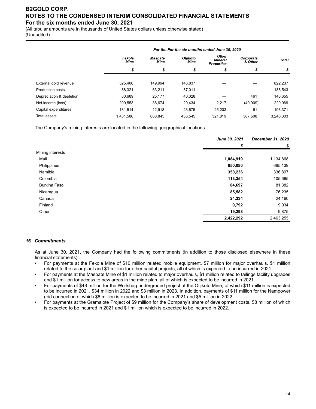(All tabular amounts are in thousands of United States dollars unless otherwise stated)

(Unaudited)

|                          | For the For the six months ended June 30, 2020 |                                                   |         |                                              |                      |              |  |  |  |
|--------------------------|------------------------------------------------|---------------------------------------------------|---------|----------------------------------------------|----------------------|--------------|--|--|--|
|                          | Fekola<br><b>Mine</b>                          | Otjikoto<br><b>Masbate</b><br><b>Mine</b><br>Mine |         | Other<br><b>Mineral</b><br><b>Properties</b> | Corporate<br>& Other | <b>Total</b> |  |  |  |
|                          | \$                                             | \$                                                | \$      | \$                                           |                      | \$           |  |  |  |
|                          |                                                |                                                   |         |                                              |                      |              |  |  |  |
| External gold revenue    | 525.406                                        | 149.994                                           | 146.837 |                                              |                      | 822,237      |  |  |  |
| <b>Production costs</b>  | 88.321                                         | 63.211                                            | 37.011  |                                              |                      | 188,543      |  |  |  |
| Depreciation & depletion | 80.689                                         | 25,177                                            | 40,328  |                                              | 461                  | 146,655      |  |  |  |
| Net income (loss)        | 200.553                                        | 38,674                                            | 20.434  | 2.217                                        | (40,909)             | 220,969      |  |  |  |
| Capital expenditures     | 131.514                                        | 12.918                                            | 23.675  | 25.203                                       | 61                   | 193,371      |  |  |  |
| Total assets             | 1.431.586                                      | 668.845                                           | 436.545 | 321.819                                      | 387.508              | 3.246.303    |  |  |  |

The Company's mining interests are located in the following geographical locations:

|                  | June 30, 2021 | <b>December 31, 2020</b> |
|------------------|---------------|--------------------------|
|                  | \$            | \$                       |
| Mining interests |               |                          |
| Mali             | 1,084,919     | 1,134,868                |
| Philippines      | 650,080       | 685,139                  |
| Namibia          | 350,236       | 336,897                  |
| Colombia         | 113,354       | 105,665                  |
| Burkina Faso     | 84,697        | 81,382                   |
| Nicaragua        | 85,582        | 76,235                   |
| Canada           | 24,334        | 24,160                   |
| Finland          | 9,792         | 9,034                    |
| Other            | 19,298        | 9,875                    |
|                  | 2,422,292     | 2,463,255                |

## *16 Commitments*

As at June 30, 2021, the Company had the following commitments (in addition to those disclosed elsewhere in these financial statements):

- For payments at the Fekola Mine of \$10 million related mobile equipment, \$7 million for major overhauls, \$1 million related to the solar plant and \$1 million for other capital projects, all of which is expected to be incurred in 2021.
- For payments at the Masbate Mine of \$1 million related to major overhauls, \$1 million related to tailings facility upgrades and \$1 million for access to new areas in the mine plan, all of which is expected to be incurred in 2021.
- For payments of \$48 million for the Wolfshag underground project at the Otjikoto Mine, of which \$11 million is expected to be incurred in 2021, \$34 million in 2022 and \$3 million in 2023. In addition, payments of \$11 million for the Nampower grid connection of which \$6 million is expected to be incurred in 2021 and \$5 million in 2022.
- For payments at the Gramalote Project of \$9 million for the Company's share of development costs, \$8 million of which is expected to be incurred in 2021 and \$1 million which is expected to be incurred in 2022.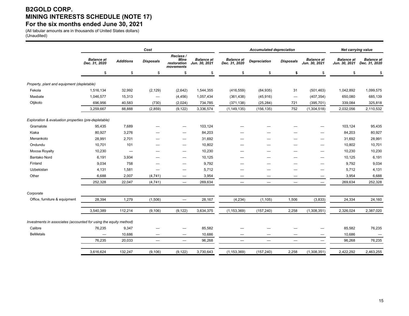# **B2GOLD CORP. MINING INTERESTS SCHEDULE (NOTE 17) For the six months ended June 30, 2021**

(All tabular amounts are in thousands of United States dollars) (Unaudited)

|                                                                   | Cost                               |                  |                  |                                                      |                                    |                                    | <b>Accumulated depreciation</b> |                  |                                    | <b>Net carrying value</b>          |                                    |
|-------------------------------------------------------------------|------------------------------------|------------------|------------------|------------------------------------------------------|------------------------------------|------------------------------------|---------------------------------|------------------|------------------------------------|------------------------------------|------------------------------------|
|                                                                   | <b>Balance</b> at<br>Dec. 31, 2020 | <b>Additions</b> | <b>Disposals</b> | Reclass /<br><b>Mine</b><br>restoration<br>movements | <b>Balance</b> at<br>Jun. 30, 2021 | <b>Balance at</b><br>Dec. 31, 2020 | <b>Depreciation</b>             | <b>Disposals</b> | <b>Balance at</b><br>Jun. 30, 2021 | <b>Balance at</b><br>Jun. 30, 2021 | <b>Balance</b> at<br>Dec. 31, 2020 |
|                                                                   | \$                                 | \$               | \$               | \$                                                   | \$                                 | \$                                 | \$                              | \$               | \$                                 | <sup>\$</sup>                      | \$                                 |
| Property, plant and equipment (depletable)                        |                                    |                  |                  |                                                      |                                    |                                    |                                 |                  |                                    |                                    |                                    |
| Fekola                                                            | 1,516,134                          | 32,992           | (2, 129)         | (2,642)                                              | 1,544,355                          | (416, 559)                         | (84, 935)                       | 31               | (501, 463)                         | 1,042,892                          | 1,099,575                          |
| Masbate                                                           | 1,046,577                          | 15,313           | $\qquad \qquad$  | (4, 456)                                             | 1,057,434                          | (361, 438)                         | (45, 916)                       | $\qquad \qquad$  | (407, 354)                         | 650,080                            | 685,139                            |
| Otjikoto                                                          | 696,956                            | 40,583           | (730)            | (2,024)                                              | 734,785                            | (371, 138)                         | (25, 284)                       | 721              | (395, 701)                         | 339,084                            | 325,818                            |
|                                                                   | 3,259,667                          | 88,888           | (2, 859)         | (9, 122)                                             | 3,336,574                          | (1, 149, 135)                      | (156, 135)                      | 752              | (1,304,518)                        | 2,032,056                          | 2,110,532                          |
| Exploration & evaluation properties (pre-depletable)              |                                    |                  |                  |                                                      |                                    |                                    |                                 |                  |                                    |                                    |                                    |
| Gramalote                                                         | 95,435                             | 7,689            |                  |                                                      | 103,124                            |                                    |                                 |                  |                                    | 103,124                            | 95,435                             |
| Kiaka                                                             | 80,927                             | 3,276            |                  |                                                      | 84,203                             |                                    |                                 |                  |                                    | 84,203                             | 80,927                             |
| Menankoto                                                         | 28,991                             | 2,701            |                  | -                                                    | 31,692                             |                                    |                                 |                  | -                                  | 31,692                             | 28,991                             |
| Ondundu                                                           | 10,701                             | 101              |                  | -                                                    | 10,802                             |                                    |                                 |                  | -                                  | 10,802                             | 10,701                             |
| Mocoa Royalty                                                     | 10,230                             |                  |                  |                                                      | 10,230                             |                                    |                                 |                  | -                                  | 10,230                             | 10,230                             |
| <b>Bantako Nord</b>                                               | 6,191                              | 3,934            |                  | -                                                    | 10,125                             |                                    |                                 |                  | -                                  | 10,125                             | 6,191                              |
| Finland                                                           | 9,034                              | 758              |                  | -                                                    | 9,792                              | —                                  |                                 |                  |                                    | 9,792                              | 9,034                              |
| Uzbekistan                                                        | 4,131                              | 1,581            |                  | -                                                    | 5,712                              |                                    |                                 |                  |                                    | 5,712                              | 4,131                              |
| Other                                                             | 6,688                              | 2,007            | (4, 741)         | -                                                    | 3,954                              |                                    |                                 |                  |                                    | 3,954                              | 6,688                              |
|                                                                   | 252,328                            | 22,047           | (4, 741)         | $\qquad \qquad =$                                    | 269,634                            | $\equiv$                           | $\overline{\phantom{m}}$        | $\equiv$         | $\overline{\phantom{0}}$           | 269,634                            | 252,328                            |
| Corporate                                                         |                                    |                  |                  |                                                      |                                    |                                    |                                 |                  |                                    |                                    |                                    |
| Office, furniture & equipment                                     | 28,394                             | 1,279            | (1,506)          | $\overline{\phantom{0}}$                             | 28,167                             | (4, 234)                           | (1, 105)                        | 1,506            | (3,833)                            | 24,334                             | 24,160                             |
|                                                                   | 3,540,389                          | 112,214          | (9, 106)         | (9, 122)                                             | 3,634,375                          | (1, 153, 369)                      | (157, 240)                      | 2,258            | (1,308,351)                        | 2,326,024                          | 2,387,020                          |
| Investments in associates (accounted for using the equity method) |                                    |                  |                  |                                                      |                                    |                                    |                                 |                  |                                    |                                    |                                    |
| Calibre                                                           | 76,235                             | 9,347            |                  |                                                      | 85,582                             |                                    |                                 |                  |                                    | 85,582                             | 76,235                             |
| <b>BeMetals</b>                                                   |                                    | 10,686           |                  |                                                      | 10,686                             |                                    |                                 |                  |                                    | 10,686                             |                                    |
|                                                                   | 76,235                             | 20,033           |                  | $\overline{\phantom{m}}$                             | 96,268                             | $\overline{\phantom{m}}$           | $\qquad \qquad -$               |                  | $\qquad \qquad -$                  | 96,268                             | 76,235                             |
|                                                                   | 3,616,624                          | 132,247          | (9, 106)         | (9, 122)                                             | 3,730,643                          | (1, 153, 369)                      | (157, 240)                      | 2,258            | (1,308,351)                        | 2,422,292                          | 2,463,255                          |
|                                                                   |                                    |                  |                  |                                                      |                                    |                                    |                                 |                  |                                    |                                    |                                    |